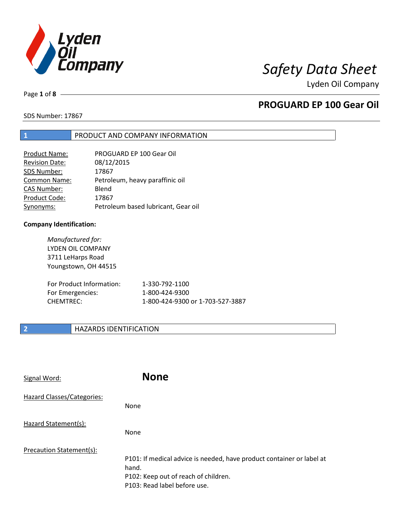

Page **1** of **8**

# **PROGUARD EP 100 Gear Oil**

SDS Number: 17867

## **1** PRODUCT AND COMPANY INFORMATION

| PROGUARD EP 100 Gear Oil            |
|-------------------------------------|
| 08/12/2015                          |
| 17867                               |
| Petroleum, heavy paraffinic oil     |
| Blend                               |
| 17867                               |
| Petroleum based lubricant, Gear oil |
|                                     |

### **Company Identification:**

*Manufactured for:* LYDEN OIL COMPANY 3711 LeHarps Road Youngstown, OH 44515 For Product Information: 1-330-792-1100 For Emergencies: 1-800-424-9300

CHEMTREC: 1-800-424-9300 or 1-703-527-3887

## **2 HAZARDS IDENTIFICATION**

| Signal Word:                      | <b>None</b>                                                                                                                                            |
|-----------------------------------|--------------------------------------------------------------------------------------------------------------------------------------------------------|
| <b>Hazard Classes/Categories:</b> | None                                                                                                                                                   |
| Hazard Statement(s):              | None                                                                                                                                                   |
| Precaution Statement(s):          | P101: If medical advice is needed, have product container or label at<br>hand.<br>P102: Keep out of reach of children.<br>P103: Read label before use. |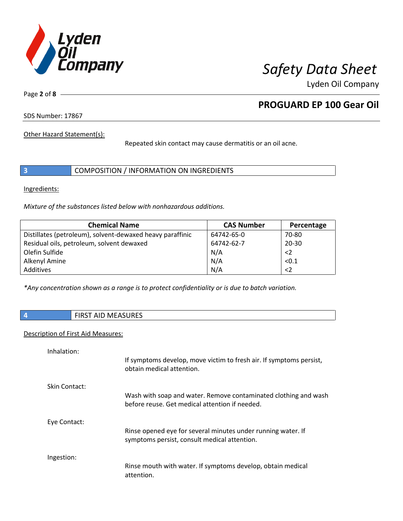

Page **2** of **8**

# **PROGUARD EP 100 Gear Oil**

SDS Number: 17867

Other Hazard Statement(s):

Repeated skin contact may cause dermatitis or an oil acne.

|  | COMPOSITION / INFORMATION ON INGREDIENTS |  |
|--|------------------------------------------|--|
|--|------------------------------------------|--|

Ingredients:

*Mixture of the substances listed below with nonhazardous additions.*

| <b>Chemical Name</b>                                      | <b>CAS Number</b> | Percentage  |
|-----------------------------------------------------------|-------------------|-------------|
| Distillates (petroleum), solvent-dewaxed heavy paraffinic | 64742-65-0        | 70-80       |
| Residual oils, petroleum, solvent dewaxed                 | 64742-62-7        | $20 - 30$   |
| Olefin Sulfide                                            | N/A               | $\langle$ 2 |
| Alkenyl Amine                                             | N/A               | < 0.1       |
| Additives                                                 | N/A               | $\langle$ 2 |

*\*Any concentration shown as a range is to protect confidentiality or is due to batch variation.*

|  | <b>CIDCT AID MEACHDEC</b><br>AJUREJ<br>ıvı<br>נחו<br>שור<br>. |
|--|---------------------------------------------------------------|
|--|---------------------------------------------------------------|

## Description of First Aid Measures:

| Inhalation:   | If symptoms develop, move victim to fresh air. If symptoms persist,<br>obtain medical attention.                  |
|---------------|-------------------------------------------------------------------------------------------------------------------|
| Skin Contact: | Wash with soap and water. Remove contaminated clothing and wash<br>before reuse. Get medical attention if needed. |
| Eye Contact:  | Rinse opened eye for several minutes under running water. If<br>symptoms persist, consult medical attention.      |
| Ingestion:    | Rinse mouth with water. If symptoms develop, obtain medical<br>attention.                                         |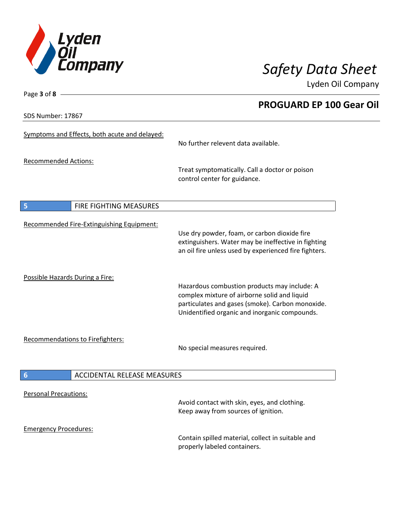

**PROGUARD EP 100 Gear Oil**

Lyden Oil Company

SDS Number: 17867

Page **3** of **8**

| Symptoms and Effects, both acute and delayed:         | No further relevent data available.                                                                                                                                                               |
|-------------------------------------------------------|---------------------------------------------------------------------------------------------------------------------------------------------------------------------------------------------------|
| <b>Recommended Actions:</b>                           | Treat symptomatically. Call a doctor or poison<br>control center for guidance.                                                                                                                    |
| 5<br>FIRE FIGHTING MEASURES                           |                                                                                                                                                                                                   |
| Recommended Fire-Extinguishing Equipment:             | Use dry powder, foam, or carbon dioxide fire<br>extinguishers. Water may be ineffective in fighting<br>an oil fire unless used by experienced fire fighters.                                      |
| Possible Hazards During a Fire:                       | Hazardous combustion products may include: A<br>complex mixture of airborne solid and liquid<br>particulates and gases (smoke). Carbon monoxide.<br>Unidentified organic and inorganic compounds. |
| Recommendations to Firefighters:                      | No special measures required.                                                                                                                                                                     |
| $6\phantom{1}6$<br><b>ACCIDENTAL RELEASE MEASURES</b> |                                                                                                                                                                                                   |
| <b>Personal Precautions:</b>                          | Avoid contact with skin, eyes, and clothing.<br>Keep away from sources of ignition.                                                                                                               |
| <b>Emergency Procedures:</b>                          | Contain spilled material, collect in suitable and<br>properly labeled containers.                                                                                                                 |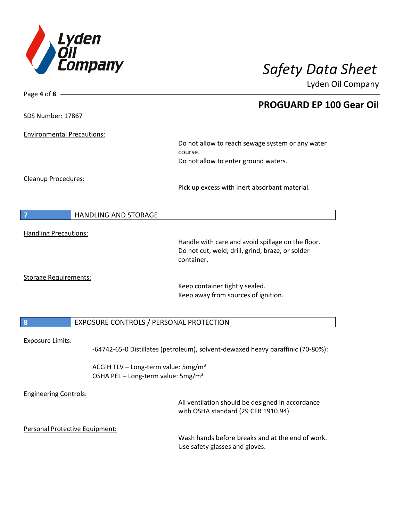

| Page 4 of 8 -                     |                                                                                 |
|-----------------------------------|---------------------------------------------------------------------------------|
|                                   | <b>PROGUARD EP 100 Gear Oil</b>                                                 |
| SDS Number: 17867                 |                                                                                 |
| <b>Environmental Precautions:</b> |                                                                                 |
|                                   | Do not allow to reach sewage system or any water                                |
|                                   | course.                                                                         |
|                                   | Do not allow to enter ground waters.                                            |
| Cleanup Procedures:               |                                                                                 |
|                                   | Pick up excess with inert absorbant material.                                   |
| <b>HANDLING AND STORAGE</b><br>7  |                                                                                 |
|                                   |                                                                                 |
| <b>Handling Precautions:</b>      | Handle with care and avoid spillage on the floor.                               |
|                                   | Do not cut, weld, drill, grind, braze, or solder                                |
|                                   | container.                                                                      |
| <b>Storage Requirements:</b>      |                                                                                 |
|                                   | Keep container tightly sealed.                                                  |
|                                   | Keep away from sources of ignition.                                             |
| $\boldsymbol{8}$                  | EXPOSURE CONTROLS / PERSONAL PROTECTION                                         |
|                                   |                                                                                 |
| <b>Exposure Limits:</b>           | -64742-65-0 Distillates (petroleum), solvent-dewaxed heavy paraffinic (70-80%): |
|                                   | ACGIH TLV - Long-term value: 5mg/m <sup>3</sup>                                 |
|                                   | OSHA PEL - Long-term value: 5mg/m <sup>3</sup>                                  |
| <b>Engineering Controls:</b>      |                                                                                 |
|                                   | All ventilation should be designed in accordance                                |
|                                   | with OSHA standard (29 CFR 1910.94).                                            |
| Personal Protective Equipment:    |                                                                                 |
|                                   | Wash hands before breaks and at the end of work.                                |
|                                   | Use safety glasses and gloves.                                                  |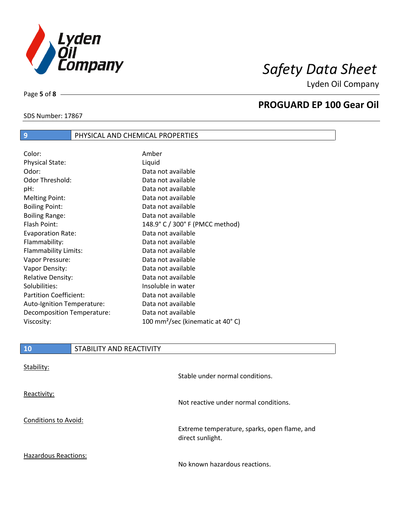

SDS Number: 17867

Page **5** of **8**

## **PROGUARD EP 100 Gear Oil**

| Color:                        | Amber                                        |
|-------------------------------|----------------------------------------------|
| <b>Physical State:</b>        | Liquid                                       |
| Odor:                         | Data not available                           |
| Odor Threshold:               | Data not available                           |
| pH:                           | Data not available                           |
| <b>Melting Point:</b>         | Data not available                           |
| <b>Boiling Point:</b>         | Data not available                           |
| <b>Boiling Range:</b>         | Data not available                           |
| Flash Point:                  | 148.9° C / 300° F (PMCC method)              |
| <b>Evaporation Rate:</b>      | Data not available                           |
| Flammability:                 | Data not available                           |
| Flammability Limits:          | Data not available                           |
| Vapor Pressure:               | Data not available                           |
| Vapor Density:                | Data not available                           |
| <b>Relative Density:</b>      | Data not available                           |
| Solubilities:                 | Insoluble in water                           |
| <b>Partition Coefficient:</b> | Data not available                           |
| Auto-Ignition Temperature:    | Data not available                           |
| Decomposition Temperature:    | Data not available                           |
| Viscosity:                    | 100 mm <sup>2</sup> /sec (kinematic at 40°C) |

**9** PHYSICAL AND CHEMICAL PROPERTIES

| ി 0 | <b>STABILITY AND REACTIVITY</b> |
|-----|---------------------------------|
|     |                                 |

| Stability:                  | Stable under normal conditions.                                  |
|-----------------------------|------------------------------------------------------------------|
| Reactivity:                 | Not reactive under normal conditions.                            |
| Conditions to Avoid:        | Extreme temperature, sparks, open flame, and<br>direct sunlight. |
| <b>Hazardous Reactions:</b> | No known hazardous reactions.                                    |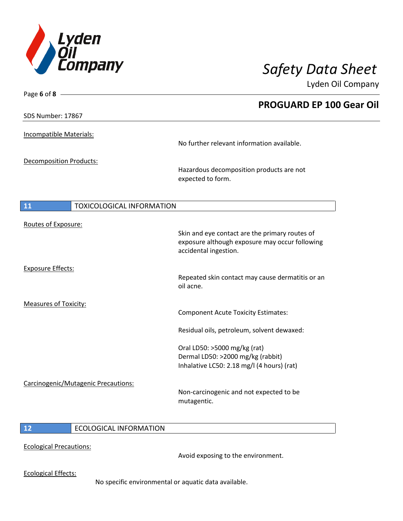

| Page 6 of 8 -                  |                                     |                                                                                                                           |
|--------------------------------|-------------------------------------|---------------------------------------------------------------------------------------------------------------------------|
|                                |                                     | <b>PROGUARD EP 100 Gear Oil</b>                                                                                           |
| SDS Number: 17867              |                                     |                                                                                                                           |
| Incompatible Materials:        |                                     |                                                                                                                           |
|                                |                                     | No further relevant information available.                                                                                |
| <b>Decomposition Products:</b> |                                     |                                                                                                                           |
|                                |                                     | Hazardous decomposition products are not<br>expected to form.                                                             |
| <b>11</b>                      | <b>TOXICOLOGICAL INFORMATION</b>    |                                                                                                                           |
|                                |                                     |                                                                                                                           |
| Routes of Exposure:            |                                     | Skin and eye contact are the primary routes of<br>exposure although exposure may occur following<br>accidental ingestion. |
| <b>Exposure Effects:</b>       |                                     | Repeated skin contact may cause dermatitis or an<br>oil acne.                                                             |
| <b>Measures of Toxicity:</b>   |                                     | <b>Component Acute Toxicity Estimates:</b>                                                                                |
|                                |                                     | Residual oils, petroleum, solvent dewaxed:                                                                                |
|                                |                                     | Oral LD50: >5000 mg/kg (rat)<br>Dermal LD50: >2000 mg/kg (rabbit)<br>Inhalative LC50: 2.18 mg/l (4 hours) (rat)           |
|                                | Carcinogenic/Mutagenic Precautions: | Non-carcinogenic and not expected to be<br>mutagentic.                                                                    |
|                                |                                     |                                                                                                                           |

## **12** ECOLOGICAL INFORMATION

Ecological Precautions:

Avoid exposing to the environment.

Ecological Effects:

No specific environmental or aquatic data available.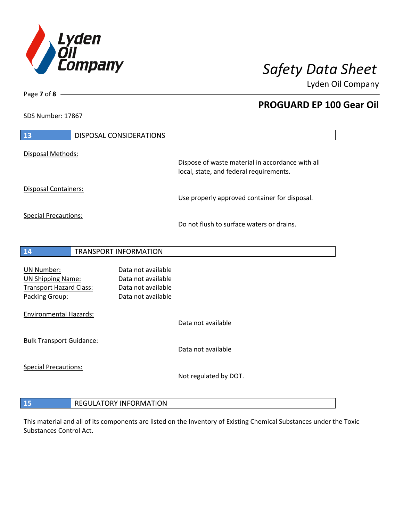

**PROGUARD EP 100 Gear Oil**

Lyden Oil Company

SDS Number: 17867

Page **7** of **8**

| 13                                                                                                | <b>DISPOSAL CONSIDERATIONS</b> |                                                                                             |
|---------------------------------------------------------------------------------------------------|--------------------------------|---------------------------------------------------------------------------------------------|
| Disposal Methods:                                                                                 |                                |                                                                                             |
|                                                                                                   |                                | Dispose of waste material in accordance with all<br>local, state, and federal requirements. |
| Disposal Containers:                                                                              |                                | Use properly approved container for disposal.                                               |
| <b>Special Precautions:</b>                                                                       |                                | Do not flush to surface waters or drains.                                                   |
| 14                                                                                                | <b>TRANSPORT INFORMATION</b>   |                                                                                             |
| <b>UN Number:</b><br><b>UN Shipping Name:</b><br><b>Transport Hazard Class:</b><br>Packing Group: |                                | Data not available<br>Data not available<br>Data not available<br>Data not available        |
| <b>Environmental Hazards:</b>                                                                     |                                | Data not available                                                                          |
| <b>Bulk Transport Guidance:</b>                                                                   |                                | Data not available                                                                          |
| <b>Special Precautions:</b>                                                                       |                                | Not regulated by DOT.                                                                       |
| 15                                                                                                | <b>REGULATORY INFORMATION</b>  |                                                                                             |

This material and all of its components are listed on the Inventory of Existing Chemical Substances under the Toxic Substances Control Act.